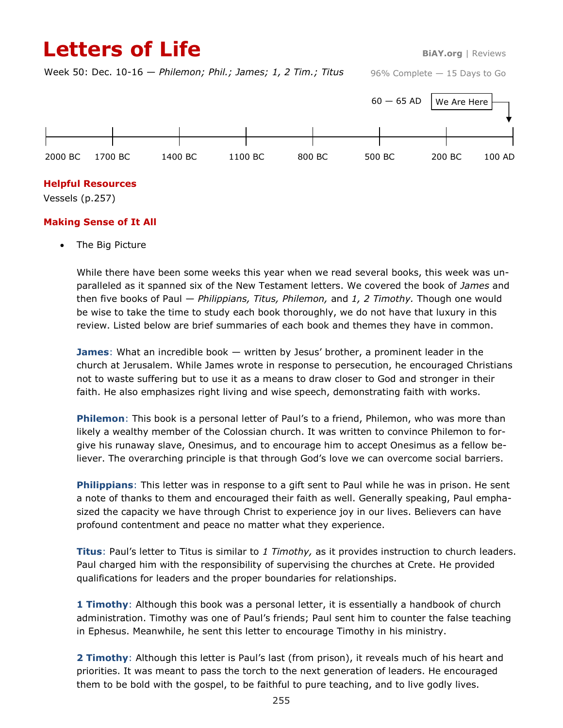# **Letters of Life BiAY.org** | Reviews

Week 50: Dec. 10-16 — *Philemon; Phil.; James; 1, 2 Tim.; Titus*

96% Complete — 15 Days to Go



#### **Helpful Resources**

Vessels (p.257)

#### **Making Sense of It All**

The Big Picture

While there have been some weeks this year when we read several books, this week was unparalleled as it spanned six of the New Testament letters. We covered the book of *James* and then five books of Paul — *Philippians, Titus, Philemon,* and *1, 2 Timothy.* Though one would be wise to take the time to study each book thoroughly, we do not have that luxury in this review. Listed below are brief summaries of each book and themes they have in common.

**James**: What an incredible book — written by Jesus' brother, a prominent leader in the church at Jerusalem. While James wrote in response to persecution, he encouraged Christians not to waste suffering but to use it as a means to draw closer to God and stronger in their faith. He also emphasizes right living and wise speech, demonstrating faith with works.

**Philemon**: This book is a personal letter of Paul's to a friend, Philemon, who was more than likely a wealthy member of the Colossian church. It was written to convince Philemon to forgive his runaway slave, Onesimus, and to encourage him to accept Onesimus as a fellow believer. The overarching principle is that through God's love we can overcome social barriers.

**Philippians**: This letter was in response to a gift sent to Paul while he was in prison. He sent a note of thanks to them and encouraged their faith as well. Generally speaking, Paul emphasized the capacity we have through Christ to experience joy in our lives. Believers can have profound contentment and peace no matter what they experience.

**Titus**: Paul's letter to Titus is similar to *1 Timothy,* as it provides instruction to church leaders. Paul charged him with the responsibility of supervising the churches at Crete. He provided qualifications for leaders and the proper boundaries for relationships.

**1 Timothy**: Although this book was a personal letter, it is essentially a handbook of church administration. Timothy was one of Paul's friends; Paul sent him to counter the false teaching in Ephesus. Meanwhile, he sent this letter to encourage Timothy in his ministry.

**2 Timothy**: Although this letter is Paul's last (from prison), it reveals much of his heart and priorities. It was meant to pass the torch to the next generation of leaders. He encouraged them to be bold with the gospel, to be faithful to pure teaching, and to live godly lives.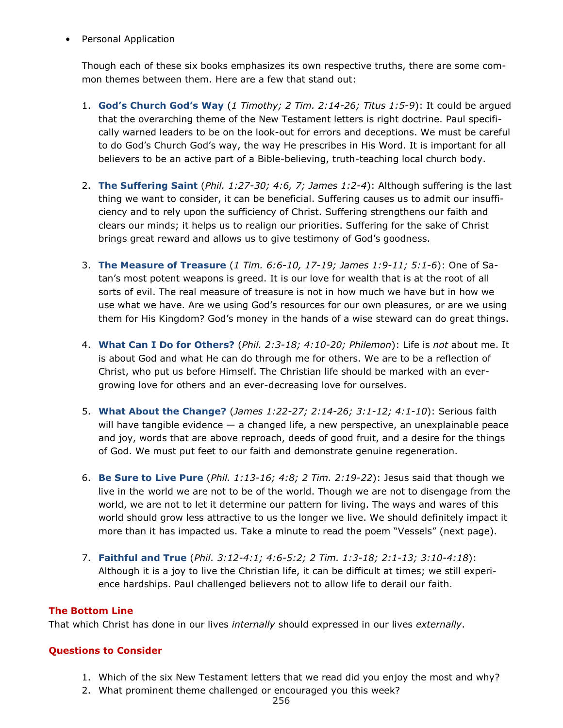• Personal Application

Though each of these six books emphasizes its own respective truths, there are some common themes between them. Here are a few that stand out:

- 1. **God's Church God's Way** (*1 Timothy; 2 Tim. 2:14-26; Titus 1:5-9*): It could be argued that the overarching theme of the New Testament letters is right doctrine. Paul specifically warned leaders to be on the look-out for errors and deceptions. We must be careful to do God's Church God's way, the way He prescribes in His Word. It is important for all believers to be an active part of a Bible-believing, truth-teaching local church body.
- 2. **The Suffering Saint** (*Phil. 1:27-30; 4:6, 7; James 1:2-4*): Although suffering is the last thing we want to consider, it can be beneficial. Suffering causes us to admit our insufficiency and to rely upon the sufficiency of Christ. Suffering strengthens our faith and clears our minds; it helps us to realign our priorities. Suffering for the sake of Christ brings great reward and allows us to give testimony of God's goodness.
- 3. **The Measure of Treasure** (*1 Tim. 6:6-10, 17-19; James 1:9-11; 5:1-6*): One of Satan's most potent weapons is greed. It is our love for wealth that is at the root of all sorts of evil. The real measure of treasure is not in how much we have but in how we use what we have. Are we using God's resources for our own pleasures, or are we using them for His Kingdom? God's money in the hands of a wise steward can do great things.
- 4. **What Can I Do for Others?** (*Phil. 2:3-18; 4:10-20; Philemon*): Life is *not* about me. It is about God and what He can do through me for others. We are to be a reflection of Christ, who put us before Himself. The Christian life should be marked with an evergrowing love for others and an ever-decreasing love for ourselves.
- 5. **What About the Change?** (*James 1:22-27; 2:14-26; 3:1-12; 4:1-10*): Serious faith will have tangible evidence  $-$  a changed life, a new perspective, an unexplainable peace and joy, words that are above reproach, deeds of good fruit, and a desire for the things of God. We must put feet to our faith and demonstrate genuine regeneration.
- 6. **Be Sure to Live Pure** (*Phil. 1:13-16; 4:8; 2 Tim. 2:19-22*): Jesus said that though we live in the world we are not to be of the world. Though we are not to disengage from the world, we are not to let it determine our pattern for living. The ways and wares of this world should grow less attractive to us the longer we live. We should definitely impact it more than it has impacted us. Take a minute to read the poem "Vessels" (next page).
- 7. **Faithful and True** (*Phil. 3:12-4:1; 4:6-5:2; 2 Tim. 1:3-18; 2:1-13; 3:10-4:18*): Although it is a joy to live the Christian life, it can be difficult at times; we still experience hardships. Paul challenged believers not to allow life to derail our faith.

## **The Bottom Line**

That which Christ has done in our lives *internally* should expressed in our lives *externally*.

## **Questions to Consider**

- 1. Which of the six New Testament letters that we read did you enjoy the most and why?
- 2. What prominent theme challenged or encouraged you this week?